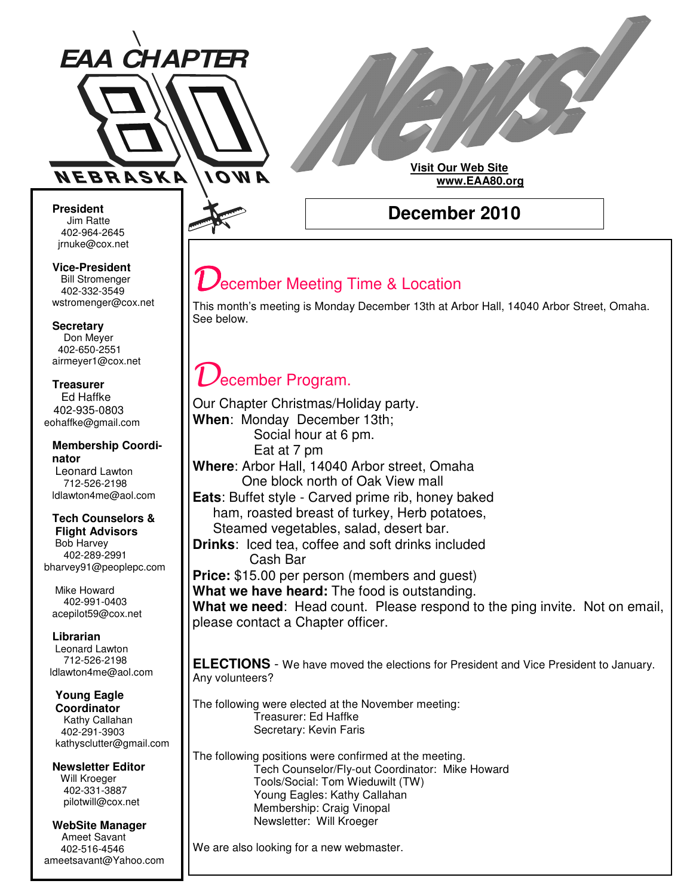

# **Visit Our Web Site www.EAA80.org**

**President** Jim Ratte Ratte 402-964-2645 jrnuke@cox.net

**Vice-President** Bill Stromenger 402-332-3549 jrnuke@cox.net 402-332-3549wstromenger@cox.net

**Secretary** Don Meyer Don Meyer 402-650-2551 airmeyer1@cox.net

**Treasurer** Ed Haffke Ed Haffke 402-935-0803 eohaffke@gmail.com

#### **Membership Coordinator** Leonard Lawton 402-895-0125 712-526-2198 ldlawton4me@aol.com

#### **Tech Counselors & Tech Counselors & Flight Advisors Flight Advisors**

Bob Harvey Bob Harvey 402-289-2991 402-289-2991 bharvey91@peoplepc.com bharvey91@peoplepc.com

Mike Howard Mike Howard 402-991-0403 402-991-0403 acepilot59@cox.net acepilot59@cox.net

**Librarian Librarian** Leonard Lawton Leonard Lawton 712-526-2198 712-526-2198

ldlawton4me@aol.com ldlawton4me@aol.com **Young Eagle Young Eagle Coordinator Coordinator** Kathy Callahan 402-291-3903

kathysclutter@gmail.com **Newsletter Editor Newsletter Editor** Will Kroeger Will Kroeger 402-331-3887 402-331-3887 pilotwill@cox.net pilotwill@cox.net

**WebSite Manager WebSite Manager** Ameet Savant Ameet Savant 402-516-4546 402-516-4546 ameetsavant@Yahoo.com ameetsavant@Yahoo.com **December 2010**

# ecember Meeting Time & Location

This month's meeting is Monday December 13th at Arbor Hall, 14040 Arbor Street, Omaha. See below.

# ecember Program.

Our Chapter Christmas/Holiday party. **When**: Monday December 13th; Social hour at 6 pm. Eat at 7 pm **Where**: Arbor Hall, 14040 Arbor street, Omaha One block north of Oak View mall **Eats**: Buffet style - Carved prime rib, honey baked ham, roasted breast of turkey, Herb potatoes, Steamed vegetables, salad, desert bar. **Drinks**: Iced tea, coffee and soft drinks included Cash Bar **Price:** \$15.00 per person (members and guest) **What we have heard:** The food is outstanding. **What we need**: Head count. Please respond to the ping invite. Not on email, please contact a Chapter officer.

**ELECTIONS** - We have moved the elections for President and Vice President to January. Any volunteers?

The following were elected at the November meeting: Treasurer: Ed Haffke Secretary: Kevin Faris

The following positions were confirmed at the meeting. Tech Counselor/Fly-out Coordinator: Mike Howard Tools/Social: Tom Wieduwilt (TW) Young Eagles: Kathy Callahan Membership: Craig Vinopal Newsletter: Will Kroeger

We are also looking for a new webmaster.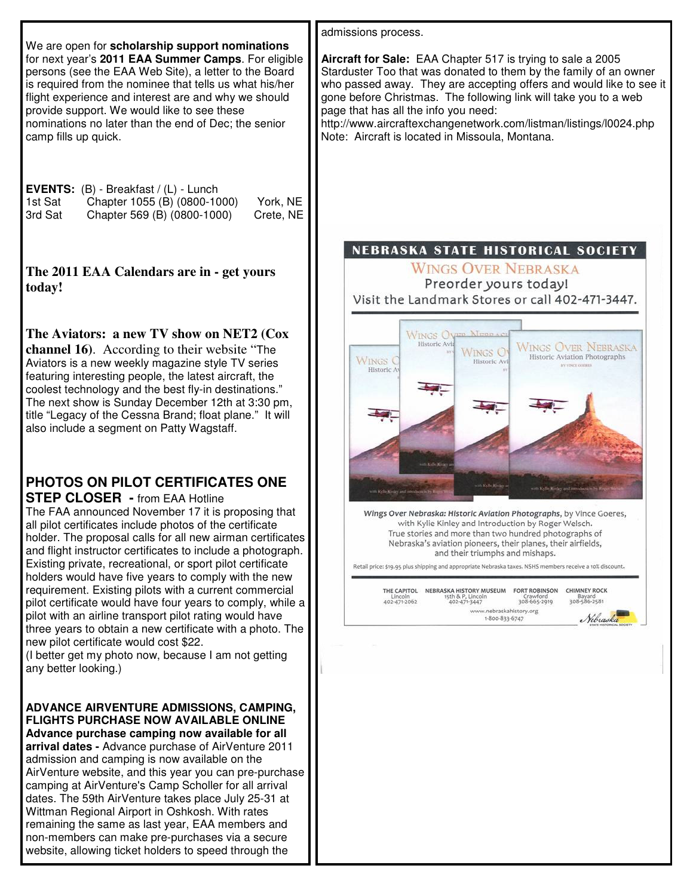admissions process. We are open for **scholarship support nominations** for next year's **2011 EAA Summer Camps**. For eligible **Aircraft for Sale:** EAA Chapter 517 is trying to sale a 2005 persons (see the EAA Web Site), a letter to the Board Starduster Too that was donated to them by the family of an owner is required from the nominee that tells us what his/her who passed away. They are accepting offers and would like to see it flight experience and interest are and why we should gone before Christmas. The following link will take you to a web provide support. We would like to see these page that has all the info you need: nominations no later than the end of Dec; the senior http://www.aircraftexchangenetwork.com/listman/listings/l0024.php camp fills up quick. Note: Aircraft is located in Missoula, Montana.**EVENTS:** (B) - Breakfast / (L) - Lunch<br>1st Sat Chapter 1055 (B) (0800-10 Chapter 1055 (B) (0800-1000) York, NE 3rd Sat Chapter 569 (B) (0800-1000) Crete, NE NEBRASKA STATE HISTORICAL SOCIETY **WINGS OVER NEBRASKA The 2011 EAA Calendars are in - get yours** Preorder yours today! **today!** Visit the Landmark Stores or call 402-471-3447. **The Aviators: a new TV show on NET2 (Cox WINGS OVE** Historic Avi **WINGS OVER NEBRASKA channel 16)**. According to their website "The **WINGS O** Historic Aviation Photographs **WINGS** Aviators is a new weekly magazine style TV series Historic Av Historic A featuring interesting people, the latest aircraft, the coolest technology and the best fly-in destinations." The next show is Sunday December 12th at 3:30 pm, title "Legacy of the Cessna Brand; float plane." It will also include a segment on Patty Wagstaff. **PHOTOS ON PILOT CERTIFICATES ONE STEP CLOSER -** from EAA Hotline The FAA announced November 17 it is proposing that Wings Over Nebraska: Historic Aviation Photographs, by Vince Goeres, with Kylie Kinley and Introduction by Roger Welsch. all pilot certificates include photos of the certificate True stories and more than two hundred photographs of holder. The proposal calls for all new airman certificates Nebraska's aviation pioneers, their planes, their airfields, and flight instructor certificates to include a photograph. and their triumphs and mishaps. Existing private, recreational, or sport pilot certificate Retail price: \$19.95 plus shipping and appropriate Nebraska taxes. NSHS members receive a 10% discount. holders would have five years to comply with the new requirement. Existing pilots with a current commercial THE CAPITOL NEBRASKA HISTORY MUSEUM FORT ROBINSON CHIMNEY ROCK<br>
Lincoln 15th & P, Lincoln Crawford (2011)<br>
402-471-3487 308-665-2919 308-586-3581 15th & P, Lincol<br>402-471-3447 pilot certificate would have four years to comply, while a www.nebraskahistory.org pilot with an airline transport pilot rating would have 1-800-833-6747 three years to obtain a new certificate with a photo. The new pilot certificate would cost \$22. (I better get my photo now, because I am not getting any better looking.) **ADVANCE AIRVENTURE ADMISSIONS, CAMPING, FLIGHTS PURCHASE NOW AVAILABLE ONLINE Advance purchase camping now available for all arrival dates -** Advance purchase of AirVenture 2011 admission and camping is now available on the AirVenture website, and this year you can pre-purchase camping at AirVenture's Camp Scholler for all arrival dates. The 59th AirVenture takes place July 25-31 at Wittman Regional Airport in Oshkosh. With rates remaining the same as last year, EAA members and non-members can make pre-purchases via a secure website, allowing ticket holders to speed through the

Nibraska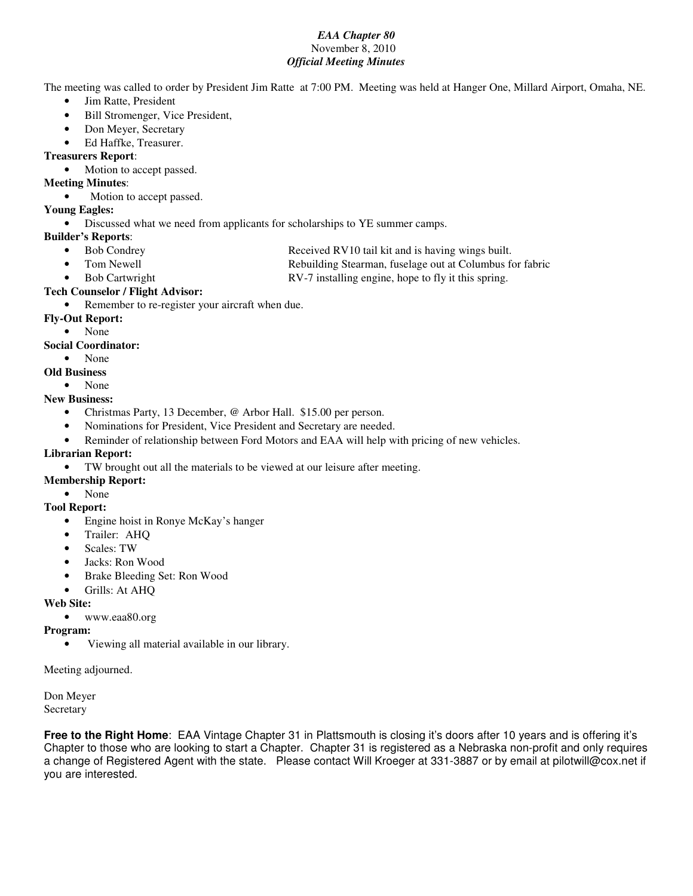#### *EAA Chapter 80* November 8, 2010 *Official Meeting Minutes*

The meeting was called to order by President Jim Ratte at 7:00 PM. Meeting was held at Hanger One, Millard Airport, Omaha, NE.

- Jim Ratte, President
- Bill Stromenger, Vice President,
- Don Meyer, Secretary
- Ed Haffke, Treasurer.

# **Treasurers Report**:

• Motion to accept passed.

## **Meeting Minutes**:

• Motion to accept passed.

### **Young Eagles:**

• Discussed what we need from applicants for scholarships to YE summer camps.

- **Builder's Reports**:
	- Bob Condrey Received RV10 tail kit and is having wings built.
	-

• Tom Newell **Rebuilding Stearman, fuselage out at Columbus for fabric** 

- 
- Bob Cartwright **RV-7** installing engine, hope to fly it this spring.

### **Tech Counselor / Flight Advisor:**

Remember to re-register your aircraft when due.

### **Fly-Out Report:**

• None

### **Social Coordinator:**

• None

# **Old Business**

• None

# **New Business:**

- Christmas Party, 13 December, @ Arbor Hall. \$15.00 per person.
- Nominations for President, Vice President and Secretary are needed.
- Reminder of relationship between Ford Motors and EAA will help with pricing of new vehicles.

# **Librarian Report:**

- TW brought out all the materials to be viewed at our leisure after meeting.
- **Membership Report:**
	- None

# **Tool Report:**

- Engine hoist in Ronye McKay's hanger
- Trailer: AHQ
- Scales: TW
- Jacks: Ron Wood
- Brake Bleeding Set: Ron Wood
- Grills: At AHQ

# **Web Site:**

• www.eaa80.org

#### **Program:**

• Viewing all material available in our library.

#### Meeting adjourned.

Don Meyer Secretary

**Free to the Right Home**: EAA Vintage Chapter 31 in Plattsmouth is closing it's doors after 10 years and is offering it's Chapter to those who are looking to start a Chapter. Chapter 31 is registered as a Nebraska non-profit and only requires a change of Registered Agent with the state. Please contact Will Kroeger at 331-3887 or by email at pilotwill@cox.net if you are interested.